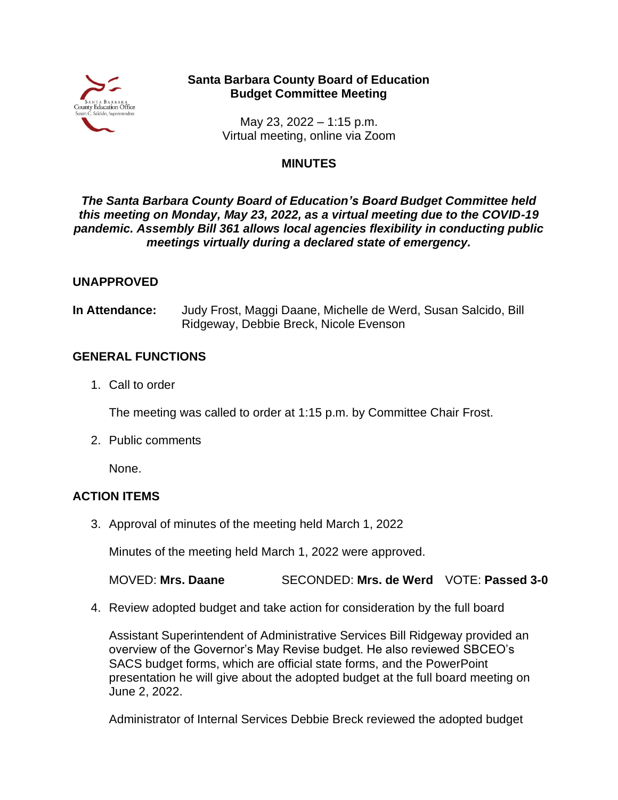

# **Santa Barbara County Board of Education Budget Committee Meeting**

May 23, 2022 – 1:15 p.m. Virtual meeting, online via Zoom

#### **MINUTES**

#### *The Santa Barbara County Board of Education's Board Budget Committee held this meeting on Monday, May 23, 2022, as a virtual meeting due to the COVID-19 pandemic. Assembly Bill 361 allows local agencies flexibility in conducting public meetings virtually during a declared state of emergency.*

# **UNAPPROVED**

**In Attendance:** Judy Frost, Maggi Daane, Michelle de Werd, Susan Salcido, Bill Ridgeway, Debbie Breck, Nicole Evenson

# **GENERAL FUNCTIONS**

1. Call to order

The meeting was called to order at 1:15 p.m. by Committee Chair Frost.

2. Public comments

None.

# **ACTION ITEMS**

3. Approval of minutes of the meeting held March 1, 2022

Minutes of the meeting held March 1, 2022 were approved.

MOVED: **Mrs. Daane** SECONDED: **Mrs. de Werd** VOTE: **Passed 3-0**

4. Review adopted budget and take action for consideration by the full board

Assistant Superintendent of Administrative Services Bill Ridgeway provided an overview of the Governor's May Revise budget. He also reviewed SBCEO's SACS budget forms, which are official state forms, and the PowerPoint presentation he will give about the adopted budget at the full board meeting on June 2, 2022.

Administrator of Internal Services Debbie Breck reviewed the adopted budget